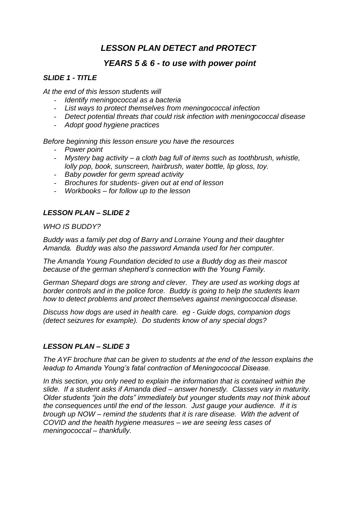# *LESSON PLAN DETECT and PROTECT*

# *YEARS 5 & 6 - to use with power point*

### *SLIDE 1 - TITLE*

*At the end of this lesson students will*

- *Identify meningococcal as a bacteria*
- *List ways to protect themselves from meningococcal infection*
- *Detect potential threats that could risk infection with meningococcal disease*
- *Adopt good hygiene practices*

*Before beginning this lesson ensure you have the resources*

- *Power point*
- *Mystery bag activity – a cloth bag full of items such as toothbrush, whistle, lolly pop, book, sunscreen, hairbrush, water bottle, lip gloss, toy.*
- *Baby powder for germ spread activity*
- *Brochures for students- given out at end of lesson*
- *Workbooks – for follow up to the lesson*

# *LESSON PLAN – SLIDE 2*

*WHO IS BUDDY?*

*Buddy was a family pet dog of Barry and Lorraine Young and their daughter Amanda. Buddy was also the password Amanda used for her computer.*

*The Amanda Young Foundation decided to use a Buddy dog as their mascot because of the german shepherd's connection with the Young Family.*

*German Shepard dogs are strong and clever. They are used as working dogs at border controls and in the police force. Buddy is going to help the students learn how to detect problems and protect themselves against meningococcal disease.*

*Discuss how dogs are used in health care. eg - Guide dogs, companion dogs (detect seizures for example). Do students know of any special dogs?*

#### *LESSON PLAN – SLIDE 3*

*The AYF brochure that can be given to students at the end of the lesson explains the leadup to Amanda Young's fatal contraction of Meningococcal Disease.*

*In this section, you only need to explain the information that is contained within the slide. If a student asks if Amanda died – answer honestly. Classes vary in maturity. Older students "join the dots" immediately but younger students may not think about the consequences until the end of the lesson. Just gauge your audience. If it is brough up NOW – remind the students that it is rare disease. With the advent of COVID and the health hygiene measures – we are seeing less cases of meningococcal – thankfully.*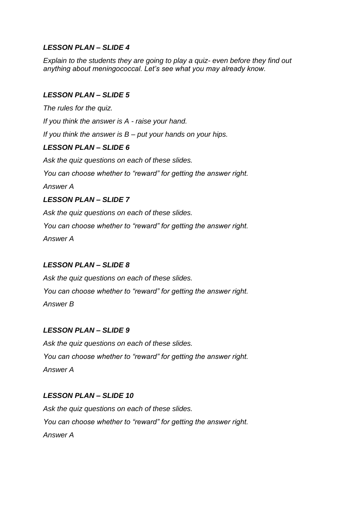*Explain to the students they are going to play a quiz- even before they find out anything about meningococcal. Let's see what you may already know.*

# *LESSON PLAN – SLIDE 5*

*The rules for the quiz.*

*If you think the answer is A - raise your hand.*

*If you think the answer is B – put your hands on your hips.*

# *LESSON PLAN – SLIDE 6*

*Ask the quiz questions on each of these slides. You can choose whether to "reward" for getting the answer right. Answer A LESSON PLAN – SLIDE 7*

*Ask the quiz questions on each of these slides.*

*You can choose whether to "reward" for getting the answer right.*

*Answer A*

# *LESSON PLAN – SLIDE 8*

*Ask the quiz questions on each of these slides. You can choose whether to "reward" for getting the answer right. Answer B*

# *LESSON PLAN – SLIDE 9*

*Ask the quiz questions on each of these slides. You can choose whether to "reward" for getting the answer right. Answer A*

# *LESSON PLAN – SLIDE 10*

*Ask the quiz questions on each of these slides. You can choose whether to "reward" for getting the answer right. Answer A*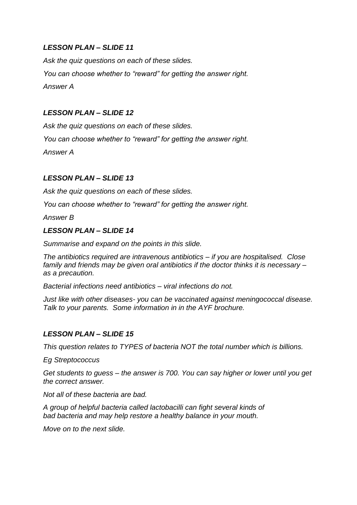*Ask the quiz questions on each of these slides. You can choose whether to "reward" for getting the answer right. Answer A*

### *LESSON PLAN – SLIDE 12*

*Ask the quiz questions on each of these slides. You can choose whether to "reward" for getting the answer right.*

*Answer A*

# *LESSON PLAN – SLIDE 13*

*Ask the quiz questions on each of these slides.*

*You can choose whether to "reward" for getting the answer right.*

*Answer B*

#### *LESSON PLAN – SLIDE 14*

*Summarise and expand on the points in this slide.*

*The antibiotics required are intravenous antibiotics – if you are hospitalised. Close family and friends may be given oral antibiotics if the doctor thinks it is necessary – as a precaution.*

*Bacterial infections need antibiotics – viral infections do not.*

*Just like with other diseases- you can be vaccinated against meningococcal disease. Talk to your parents. Some information in in the AYF brochure.*

# *LESSON PLAN – SLIDE 15*

*This question relates to TYPES of bacteria NOT the total number which is billions.*

*Eg Streptococcus*

*Get students to guess – the answer is 700. You can say higher or lower until you get the correct answer.*

*Not all of these bacteria are bad.* 

*A group of helpful bacteria called lactobacilli can fight several kinds of bad bacteria and may help restore a healthy balance in your mouth.*

*Move on to the next slide.*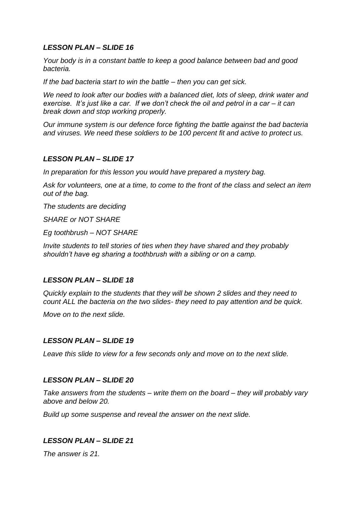*Your body is in a constant battle to keep a good balance between bad and good bacteria.*

*If the bad bacteria start to win the battle – then you can get sick.*

*We need to look after our bodies with a balanced diet, lots of sleep, drink water and exercise. It's just like a car. If we don't check the oil and petrol in a car – it can break down and stop working properly.*

*Our immune system is our defence force fighting the battle against the bad bacteria and viruses. We need these soldiers to be 100 percent fit and active to protect us.* 

#### *LESSON PLAN – SLIDE 17*

*In preparation for this lesson you would have prepared a mystery bag.*

*Ask for volunteers, one at a time, to come to the front of the class and select an item out of the bag.*

*The students are deciding*

*SHARE or NOT SHARE*

*Eg toothbrush – NOT SHARE*

*Invite students to tell stories of ties when they have shared and they probably shouldn't have eg sharing a toothbrush with a sibling or on a camp.*

# *LESSON PLAN – SLIDE 18*

*Quickly explain to the students that they will be shown 2 slides and they need to count ALL the bacteria on the two slides- they need to pay attention and be quick.*

*Move on to the next slide.*

#### *LESSON PLAN – SLIDE 19*

*Leave this slide to view for a few seconds only and move on to the next slide.*

#### *LESSON PLAN – SLIDE 20*

*Take answers from the students – write them on the board – they will probably vary above and below 20.*

*Build up some suspense and reveal the answer on the next slide.*

# *LESSON PLAN – SLIDE 21*

*The answer is 21.*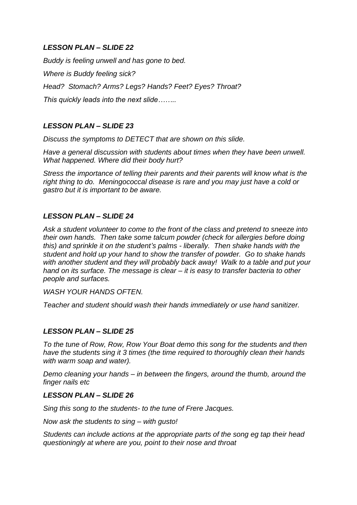*Buddy is feeling unwell and has gone to bed. Where is Buddy feeling sick? Head? Stomach? Arms? Legs? Hands? Feet? Eyes? Throat? This quickly leads into the next slide……..*

# *LESSON PLAN – SLIDE 23*

*Discuss the symptoms to DETECT that are shown on this slide.*

*Have a general discussion with students about times when they have been unwell. What happened. Where did their body hurt?*

*Stress the importance of telling their parents and their parents will know what is the right thing to do. Meningococcal disease is rare and you may just have a cold or gastro but it is important to be aware.*

# *LESSON PLAN – SLIDE 24*

*Ask a student volunteer to come to the front of the class and pretend to sneeze into their own hands. Then take some talcum powder (check for allergies before doing this) and sprinkle it on the student's palms - liberally. Then shake hands with the student and hold up your hand to show the transfer of powder. Go to shake hands with another student and they will probably back away! Walk to a table and put your hand on its surface. The message is clear – it is easy to transfer bacteria to other people and surfaces.* 

*WASH YOUR HANDS OFTEN.*

*Teacher and student should wash their hands immediately or use hand sanitizer.*

# *LESSON PLAN – SLIDE 25*

*To the tune of Row, Row, Row Your Boat demo this song for the students and then have the students sing it 3 times (the time required to thoroughly clean their hands with warm soap and water).*

*Demo cleaning your hands – in between the fingers, around the thumb, around the finger nails etc*

#### *LESSON PLAN – SLIDE 26*

*Sing this song to the students- to the tune of Frere Jacques.*

*Now ask the students to sing – with gusto!*

*Students can include actions at the appropriate parts of the song eg tap their head questioningly at where are you, point to their nose and throat*